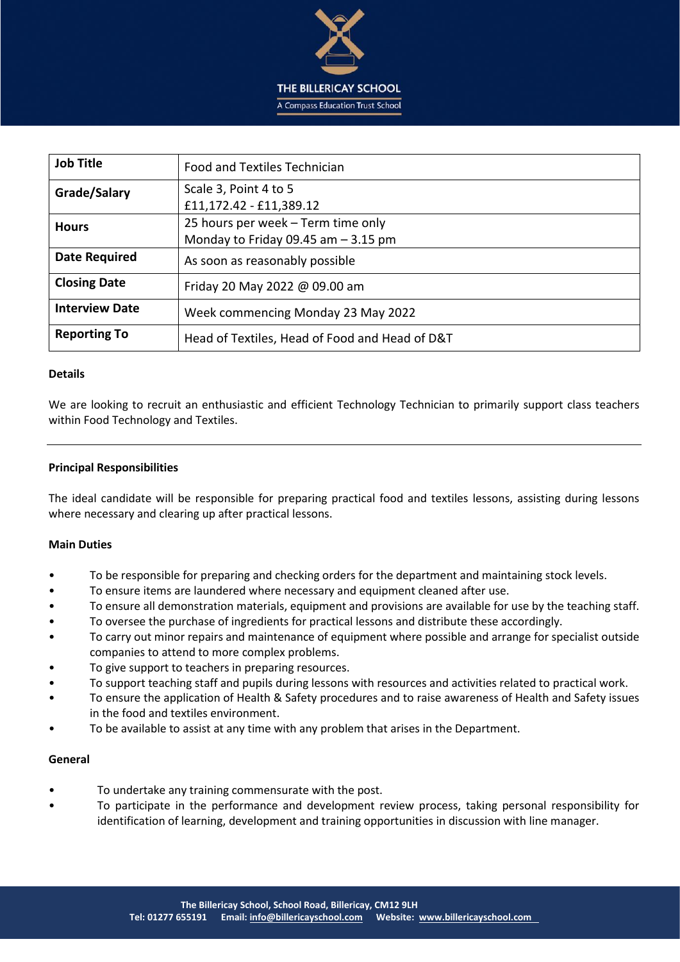

| <b>Job Title</b>      | Food and Textiles Technician                                                |  |
|-----------------------|-----------------------------------------------------------------------------|--|
| Grade/Salary          | Scale 3, Point 4 to 5<br>£11,172.42 - £11,389.12                            |  |
| <b>Hours</b>          | 25 hours per week - Term time only<br>Monday to Friday 09.45 am $-$ 3.15 pm |  |
| <b>Date Required</b>  | As soon as reasonably possible                                              |  |
| <b>Closing Date</b>   | Friday 20 May 2022 @ 09.00 am                                               |  |
| <b>Interview Date</b> | Week commencing Monday 23 May 2022                                          |  |
| <b>Reporting To</b>   | Head of Textiles, Head of Food and Head of D&T                              |  |

## **Details**

We are looking to recruit an enthusiastic and efficient Technology Technician to primarily support class teachers within Food Technology and Textiles.

## **Principal Responsibilities**

The ideal candidate will be responsible for preparing practical food and textiles lessons, assisting during lessons where necessary and clearing up after practical lessons.

# **Main Duties**

- To be responsible for preparing and checking orders for the department and maintaining stock levels.
- To ensure items are laundered where necessary and equipment cleaned after use.
- To ensure all demonstration materials, equipment and provisions are available for use by the teaching staff.
- To oversee the purchase of ingredients for practical lessons and distribute these accordingly.
- To carry out minor repairs and maintenance of equipment where possible and arrange for specialist outside companies to attend to more complex problems.
- To give support to teachers in preparing resources.
- To support teaching staff and pupils during lessons with resources and activities related to practical work.
- To ensure the application of Health & Safety procedures and to raise awareness of Health and Safety issues in the food and textiles environment.
- To be available to assist at any time with any problem that arises in the Department.

#### **General**

- To undertake any training commensurate with the post.
- To participate in the performance and development review process, taking personal responsibility for identification of learning, development and training opportunities in discussion with line manager.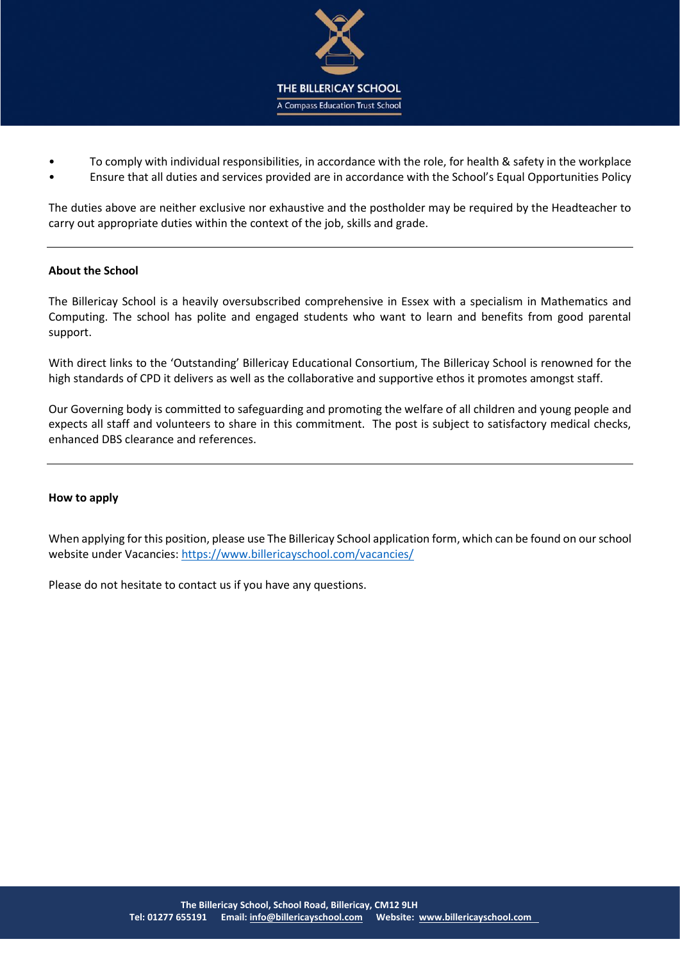

- To comply with individual responsibilities, in accordance with the role, for health & safety in the workplace
- Ensure that all duties and services provided are in accordance with the School's Equal Opportunities Policy

The duties above are neither exclusive nor exhaustive and the postholder may be required by the Headteacher to carry out appropriate duties within the context of the job, skills and grade.

# **About the School**

The Billericay School is a heavily oversubscribed comprehensive in Essex with a specialism in Mathematics and Computing. The school has polite and engaged students who want to learn and benefits from good parental support.

With direct links to the 'Outstanding' Billericay Educational Consortium, The Billericay School is renowned for the high standards of CPD it delivers as well as the collaborative and supportive ethos it promotes amongst staff.

Our Governing body is committed to safeguarding and promoting the welfare of all children and young people and expects all staff and volunteers to share in this commitment. The post is subject to satisfactory medical checks, enhanced DBS clearance and references.

# **How to apply**

When applying for this position, please use The Billericay School application form, which can be found on our school website under Vacancies:<https://www.billericayschool.com/vacancies/>

Please do not hesitate to contact us if you have any questions.